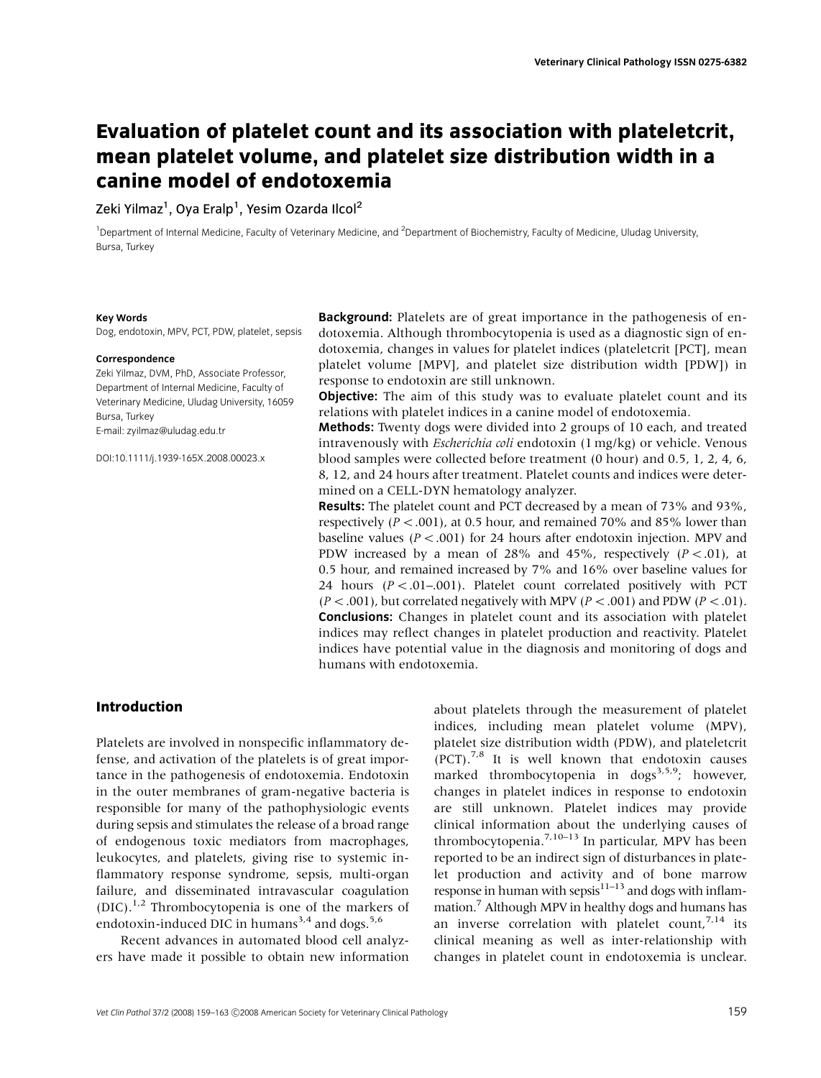# Evaluation of platelet count and its association with plateletcrit, mean platelet volume, and platelet size distribution width in a canine model of endotoxemia

Zeki Yilmaz $^1$ , Oya Eralp $^1$ , Yesim Ozarda Ilcol $^2$ 

<sup>1</sup>Department of Internal Medicine, Faculty of Veterinary Medicine, and <sup>2</sup>Department of Biochemistry, Faculty of Medicine, Uludag University, Bursa, Turkey

#### Key Words

Dog, endotoxin, MPV, PCT, PDW, platelet, sepsis

#### **Correspondence**

Zeki Yilmaz, DVM, PhD, Associate Professor, Department of Internal Medicine, Faculty of Veterinary Medicine, Uludag University, 16059 Bursa, Turkey E-mail: zyilmaz@uludag.edu.tr

DOI:10.1111/j.1939-165X.2008.00023.x

Background: Platelets are of great importance in the pathogenesis of endotoxemia. Although thrombocytopenia is used as a diagnostic sign of endotoxemia, changes in values for platelet indices (plateletcrit [PCT], mean platelet volume [MPV], and platelet size distribution width [PDW]) in response to endotoxin are still unknown.

**Objective:** The aim of this study was to evaluate platelet count and its relations with platelet indices in a canine model of endotoxemia.

Methods: Twenty dogs were divided into 2 groups of 10 each, and treated intravenously with Escherichia coli endotoxin (1 mg/kg) or vehicle. Venous blood samples were collected before treatment (0 hour) and 0.5, 1, 2, 4, 6, 8, 12, and 24 hours after treatment. Platelet counts and indices were determined on a CELL-DYN hematology analyzer.

Results: The platelet count and PCT decreased by a mean of 73% and 93%, respectively ( $P < .001$ ), at 0.5 hour, and remained 70% and 85% lower than baseline values ( $P < .001$ ) for 24 hours after endotoxin injection. MPV and PDW increased by a mean of 28% and 45%, respectively  $(P < .01)$ , at 0.5 hour, and remained increased by 7% and 16% over baseline values for 24 hours  $(P < .01-.001)$ . Platelet count correlated positively with PCT  $(P < .001)$ , but correlated negatively with MPV ( $P < .001$ ) and PDW ( $P < .01$ ). Conclusions: Changes in platelet count and its association with platelet indices may reflect changes in platelet production and reactivity. Platelet indices have potential value in the diagnosis and monitoring of dogs and humans with endotoxemia.

### Introduction

Platelets are involved in nonspecific inflammatory defense, and activation of the platelets is of great importance in the pathogenesis of endotoxemia. Endotoxin in the outer membranes of gram-negative bacteria is responsible for many of the pathophysiologic events during sepsis and stimulates the release of a broad range of endogenous toxic mediators from macrophages, leukocytes, and platelets, giving rise to systemic inflammatory response syndrome, sepsis, multi-organ failure, and disseminated intravascular coagulation  $(DIC).$ <sup>1,2</sup> Thrombocytopenia is one of the markers of endotoxin-induced DIC in humans<sup>3,4</sup> and dogs.<sup>5,6</sup>

Recent advances in automated blood cell analyzers have made it possible to obtain new information about platelets through the measurement of platelet indices, including mean platelet volume (MPV), platelet size distribution width (PDW), and plateletcrit  $(PCT)$ .<sup>7,8</sup> It is well known that endotoxin causes marked thrombocytopenia in dogs<sup>3,5,9</sup>; however, changes in platelet indices in response to endotoxin are still unknown. Platelet indices may provide clinical information about the underlying causes of thrombocytopenia.<sup>7,10–13</sup> In particular, MPV has been reported to be an indirect sign of disturbances in platelet production and activity and of bone marrow response in human with sepsi $\hat{s}^{11-13}$  and dogs with inflammation.7 Although MPV in healthy dogs and humans has an inverse correlation with platelet count,  $7.14$  its clinical meaning as well as inter-relationship with changes in platelet count in endotoxemia is unclear.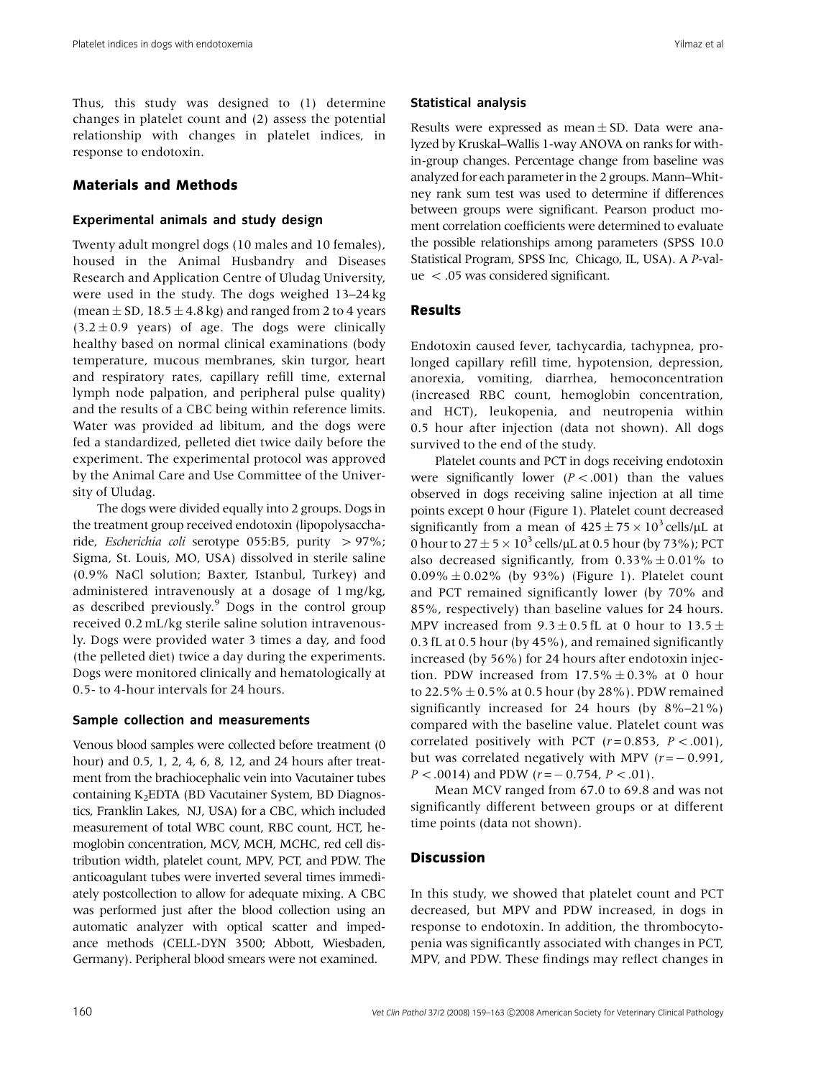Thus, this study was designed to (1) determine changes in platelet count and (2) assess the potential relationship with changes in platelet indices, in response to endotoxin.

# Materials and Methods

## Experimental animals and study design

Twenty adult mongrel dogs (10 males and 10 females), housed in the Animal Husbandry and Diseases Research and Application Centre of Uludag University, were used in the study. The dogs weighed 13–24 kg (mean  $\pm$  SD, 18.5  $\pm$  4.8 kg) and ranged from 2 to 4 years  $(3.2 \pm 0.9 \text{ years})$  of age. The dogs were clinically healthy based on normal clinical examinations (body temperature, mucous membranes, skin turgor, heart and respiratory rates, capillary refill time, external lymph node palpation, and peripheral pulse quality) and the results of a CBC being within reference limits. Water was provided ad libitum, and the dogs were fed a standardized, pelleted diet twice daily before the experiment. The experimental protocol was approved by the Animal Care and Use Committee of the University of Uludag.

The dogs were divided equally into 2 groups. Dogs in the treatment group received endotoxin (lipopolysaccharide, Escherichia coli serotype 055:B5, purity  $> 97\%$ ; Sigma, St. Louis, MO, USA) dissolved in sterile saline (0.9% NaCl solution; Baxter, Istanbul, Turkey) and administered intravenously at a dosage of 1 mg/kg, as described previously.<sup>9</sup> Dogs in the control group received 0.2 mL/kg sterile saline solution intravenously. Dogs were provided water 3 times a day, and food (the pelleted diet) twice a day during the experiments. Dogs were monitored clinically and hematologically at 0.5- to 4-hour intervals for 24 hours.

### Sample collection and measurements

Venous blood samples were collected before treatment (0 hour) and 0.5, 1, 2, 4, 6, 8, 12, and 24 hours after treatment from the brachiocephalic vein into Vacutainer tubes containing K2EDTA (BD Vacutainer System, BD Diagnostics, Franklin Lakes, NJ, USA) for a CBC, which included measurement of total WBC count, RBC count, HCT, hemoglobin concentration, MCV, MCH, MCHC, red cell distribution width, platelet count, MPV, PCT, and PDW. The anticoagulant tubes were inverted several times immediately postcollection to allow for adequate mixing. A CBC was performed just after the blood collection using an automatic analyzer with optical scatter and impedance methods (CELL-DYN 3500; Abbott, Wiesbaden, Germany). Peripheral blood smears were not examined.

### Statistical analysis

Results were expressed as mean  $\pm$  SD. Data were analyzed by Kruskal–Wallis 1-way ANOVA on ranks for within-group changes. Percentage change from baseline was analyzed for each parameter in the 2 groups. Mann–Whitney rank sum test was used to determine if differences between groups were significant. Pearson product moment correlation coefficients were determined to evaluate the possible relationships among parameters (SPSS 10.0 Statistical Program, SPSS Inc, Chicago, IL, USA). A P-val $ue < .05$  was considered significant.

## Results

Endotoxin caused fever, tachycardia, tachypnea, prolonged capillary refill time, hypotension, depression, anorexia, vomiting, diarrhea, hemoconcentration (increased RBC count, hemoglobin concentration, and HCT), leukopenia, and neutropenia within 0.5 hour after injection (data not shown). All dogs survived to the end of the study.

Platelet counts and PCT in dogs receiving endotoxin were significantly lower  $(P < .001)$  than the values observed in dogs receiving saline injection at all time points except 0 hour (Figure 1). Platelet count decreased significantly from a mean of  $425 \pm 75 \times 10^3$  cells/ $\mu$ L at 0 hour to  $27 \pm 5 \times 10^3$  cells/µL at 0.5 hour (by 73%); PCT also decreased significantly, from  $0.33\% \pm 0.01\%$  to  $0.09\% \pm 0.02\%$  (by 93%) (Figure 1). Platelet count and PCT remained significantly lower (by 70% and 85%, respectively) than baseline values for 24 hours. MPV increased from  $9.3 \pm 0.5$  fL at 0 hour to  $13.5 \pm$ 0.3 fL at 0.5 hour (by 45%), and remained significantly increased (by 56%) for 24 hours after endotoxin injection. PDW increased from  $17.5\% \pm 0.3\%$  at 0 hour to 22.5%  $\pm$  0.5% at 0.5 hour (by 28%). PDW remained significantly increased for 24 hours (by 8%–21%) compared with the baseline value. Platelet count was correlated positively with PCT  $(r=0.853, P < .001)$ , but was correlated negatively with MPV  $(r = -0.991,$  $P < .0014$ ) and PDW ( $r = -0.754$ ,  $P < .01$ ).

Mean MCV ranged from 67.0 to 69.8 and was not significantly different between groups or at different time points (data not shown).

# Discussion

In this study, we showed that platelet count and PCT decreased, but MPV and PDW increased, in dogs in response to endotoxin. In addition, the thrombocytopenia was significantly associated with changes in PCT, MPV, and PDW. These findings may reflect changes in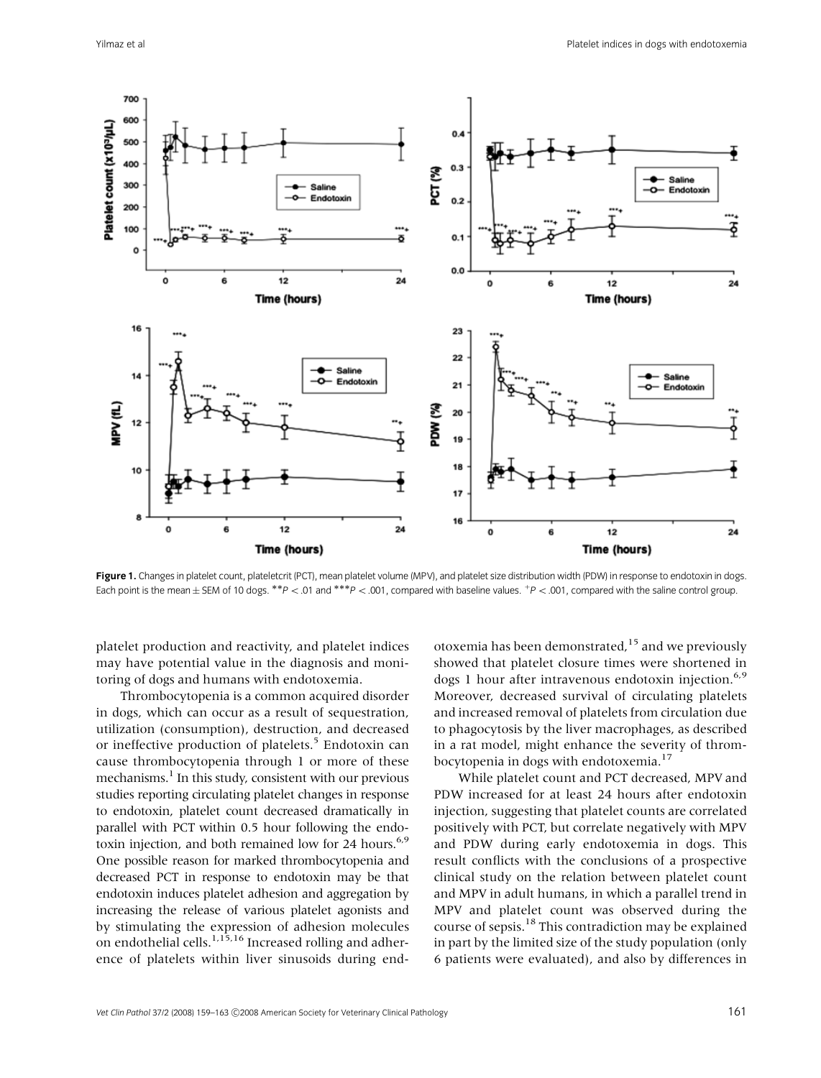

Figure 1. Changes in platelet count, plateletcrit (PCT), mean platelet volume (MPV), and platelet size distribution width (PDW) in response to endotoxin in dogs. Each point is the mean ± SEM of 10 dogs. \*\*P < 01 and \*\*\*P < 001, compared with baseline values. <sup>+</sup>P < 001, compared with the saline control group.

platelet production and reactivity, and platelet indices may have potential value in the diagnosis and monitoring of dogs and humans with endotoxemia.

Thrombocytopenia is a common acquired disorder in dogs, which can occur as a result of sequestration, utilization (consumption), destruction, and decreased or ineffective production of platelets.<sup>5</sup> Endotoxin can cause thrombocytopenia through 1 or more of these mechanisms.<sup>1</sup> In this study, consistent with our previous studies reporting circulating platelet changes in response to endotoxin, platelet count decreased dramatically in parallel with PCT within 0.5 hour following the endotoxin injection, and both remained low for 24 hours.<sup>6,9</sup> One possible reason for marked thrombocytopenia and decreased PCT in response to endotoxin may be that endotoxin induces platelet adhesion and aggregation by increasing the release of various platelet agonists and by stimulating the expression of adhesion molecules on endothelial cells.<sup>1,15,16</sup> Increased rolling and adherence of platelets within liver sinusoids during endotoxemia has been demonstrated, $15$  and we previously showed that platelet closure times were shortened in dogs 1 hour after intravenous endotoxin injection. $6.9$ Moreover, decreased survival of circulating platelets and increased removal of platelets from circulation due to phagocytosis by the liver macrophages, as described in a rat model, might enhance the severity of thrombocytopenia in dogs with endotoxemia.<sup>17</sup>

While platelet count and PCT decreased, MPV and PDW increased for at least 24 hours after endotoxin injection, suggesting that platelet counts are correlated positively with PCT, but correlate negatively with MPV and PDW during early endotoxemia in dogs. This result conflicts with the conclusions of a prospective clinical study on the relation between platelet count and MPV in adult humans, in which a parallel trend in MPV and platelet count was observed during the course of sepsis.18 This contradiction may be explained in part by the limited size of the study population (only 6 patients were evaluated), and also by differences in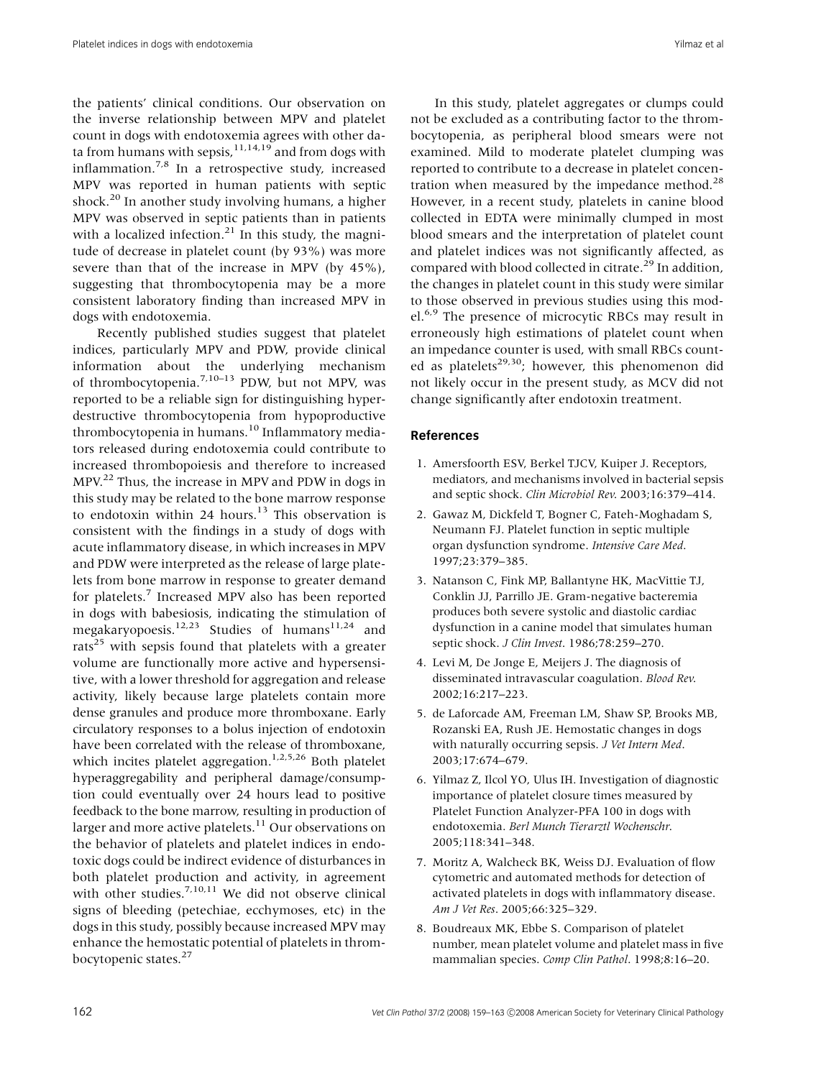the patients' clinical conditions. Our observation on the inverse relationship between MPV and platelet count in dogs with endotoxemia agrees with other data from humans with sepsis, $11,14,19$  and from dogs with inflammation.7,8 In a retrospective study, increased MPV was reported in human patients with septic shock.<sup>20</sup> In another study involving humans, a higher MPV was observed in septic patients than in patients with a localized infection. $21$  In this study, the magnitude of decrease in platelet count (by 93%) was more severe than that of the increase in MPV (by 45%), suggesting that thrombocytopenia may be a more consistent laboratory finding than increased MPV in dogs with endotoxemia.

Recently published studies suggest that platelet indices, particularly MPV and PDW, provide clinical information about the underlying mechanism of thrombocytopenia.<sup>7,10–13</sup> PDW, but not MPV, was reported to be a reliable sign for distinguishing hyperdestructive thrombocytopenia from hypoproductive thrombocytopenia in humans.<sup>10</sup> Inflammatory mediators released during endotoxemia could contribute to increased thrombopoiesis and therefore to increased MPV.<sup>22</sup> Thus, the increase in MPV and PDW in dogs in this study may be related to the bone marrow response to endotoxin within 24 hours. $13$  This observation is consistent with the findings in a study of dogs with acute inflammatory disease, in which increases in MPV and PDW were interpreted as the release of large platelets from bone marrow in response to greater demand for platelets.<sup>7</sup> Increased MPV also has been reported in dogs with babesiosis, indicating the stimulation of megakaryopoesis.<sup>12,23</sup> Studies of humans<sup>11,24</sup> and rats<sup>25</sup> with sepsis found that platelets with a greater volume are functionally more active and hypersensitive, with a lower threshold for aggregation and release activity, likely because large platelets contain more dense granules and produce more thromboxane. Early circulatory responses to a bolus injection of endotoxin have been correlated with the release of thromboxane, which incites platelet aggregation.<sup>1,2,5,26</sup> Both platelet hyperaggregability and peripheral damage/consumption could eventually over 24 hours lead to positive feedback to the bone marrow, resulting in production of larger and more active platelets.<sup>11</sup> Our observations on the behavior of platelets and platelet indices in endotoxic dogs could be indirect evidence of disturbances in both platelet production and activity, in agreement with other studies.<sup>7,10,11</sup> We did not observe clinical signs of bleeding (petechiae, ecchymoses, etc) in the dogs in this study, possibly because increased MPV may enhance the hemostatic potential of platelets in thrombocytopenic states.<sup>27</sup>

In this study, platelet aggregates or clumps could not be excluded as a contributing factor to the thrombocytopenia, as peripheral blood smears were not examined. Mild to moderate platelet clumping was reported to contribute to a decrease in platelet concentration when measured by the impedance method. $28$ However, in a recent study, platelets in canine blood collected in EDTA were minimally clumped in most blood smears and the interpretation of platelet count and platelet indices was not significantly affected, as compared with blood collected in citrate.<sup>29</sup> In addition, the changes in platelet count in this study were similar to those observed in previous studies using this model.<sup>6,9</sup> The presence of microcytic RBCs may result in erroneously high estimations of platelet count when an impedance counter is used, with small RBCs counted as platelets<sup>29,30</sup>; however, this phenomenon did not likely occur in the present study, as MCV did not change significantly after endotoxin treatment.

### References

- 1. Amersfoorth ESV, Berkel TJCV, Kuiper J. Receptors, mediators, and mechanisms involved in bacterial sepsis and septic shock. Clin Microbiol Rev. 2003;16:379–414.
- 2. Gawaz M, Dickfeld T, Bogner C, Fateh-Moghadam S, Neumann FJ. Platelet function in septic multiple organ dysfunction syndrome. Intensive Care Med. 1997;23:379–385.
- 3. Natanson C, Fink MP, Ballantyne HK, MacVittie TJ, Conklin JJ, Parrillo JE. Gram-negative bacteremia produces both severe systolic and diastolic cardiac dysfunction in a canine model that simulates human septic shock. J Clin Invest. 1986;78:259–270.
- 4. Levi M, De Jonge E, Meijers J. The diagnosis of disseminated intravascular coagulation. Blood Rev. 2002;16:217–223.
- 5. de Laforcade AM, Freeman LM, Shaw SP, Brooks MB, Rozanski EA, Rush JE. Hemostatic changes in dogs with naturally occurring sepsis. J Vet Intern Med. 2003;17:674–679.
- 6. Yilmaz Z, Ilcol YO, Ulus IH. Investigation of diagnostic importance of platelet closure times measured by Platelet Function Analyzer-PFA 100 in dogs with endotoxemia. Berl Munch Tierarztl Wochenschr. 2005;118:341–348.
- 7. Moritz A, Walcheck BK, Weiss DJ. Evaluation of flow cytometric and automated methods for detection of activated platelets in dogs with inflammatory disease. Am J Vet Res. 2005;66:325–329.
- 8. Boudreaux MK, Ebbe S. Comparison of platelet number, mean platelet volume and platelet mass in five mammalian species. Comp Clin Pathol. 1998;8:16–20.